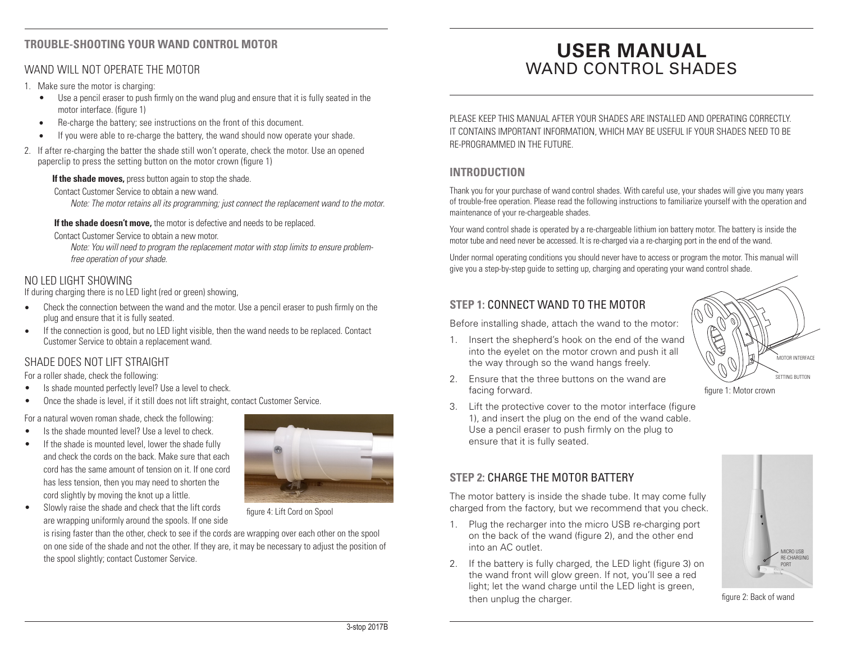#### **TROUBLE-SHOOTING YOUR WAND CONTROL MOTOR**

#### WAND WILL NOT OPERATE THE MOTOR

- 1. Make sure the motor is charging:
	- Use a pencil eraser to push firmly on the wand plug and ensure that it is fully seated in the motor interface. (figure 1)
	- Re-charge the battery; see instructions on the front of this document.
	- If you were able to re-charge the battery, the wand should now operate your shade.
- 2. If after re-charging the batter the shade still won't operate, check the motor. Use an opened paperclip to press the setting button on the motor crown (figure 1)

**If the shade moves,** press button again to stop the shade.

Contact Customer Service to obtain a new wand.

*Note: The motor retains all its programming; just connect the replacement wand to the motor*.

**If the shade doesn't move,** the motor is defective and needs to be replaced.

Contact Customer Service to obtain a new motor.

 *Note: You will need to program the replacement motor with stop limits to ensure problem free operation of your shade.*

#### NO LED LIGHT SHOWING

If during charging there is no LED light (red or green) showing,

- Check the connection between the wand and the motor. Use a pencil eraser to push firmly on the plug and ensure that it is fully seated.
- If the connection is good, but no LED light visible, then the wand needs to be replaced. Contact Customer Service to obtain a replacement wand.

#### SHADE DOES NOT LIFT STRAIGHT

For a roller shade, check the following:

- Is shade mounted perfectly level? Use a level to check.
- Once the shade is level, if it still does not lift straight, contact Customer Service.

For a natural woven roman shade, check the following:

- Is the shade mounted level? Use a level to check.
- If the shade is mounted level, lower the shade fully and check the cords on the back. Make sure that each cord has the same amount of tension on it. If one cord has less tension, then you may need to shorten the cord slightly by moving the knot up a little.



• Slowly raise the shade and check that the lift cords are wrapping uniformly around the spools. If one side

figure 4: Lift Cord on Spool

is rising faster than the other, check to see if the cords are wrapping over each other on the spool on one side of the shade and not the other. If they are, it may be necessary to adjust the position of the spool slightly; contact Customer Service.

# **USER MANUAL** WAND CONTROL SHADES

PLEASE KEEP THIS MANUAL AFTER YOUR SHADES ARE INSTALLED AND OPERATING CORRECTLY. IT CONTAINS IMPORTANT INFORMATION, WHICH MAY BE USEFUL IF YOUR SHADES NEED TO BE RE-PROGRAMMED IN THE FUTURE.

#### **INTRODUCTION**

Thank you for your purchase of wand control shades. With careful use, your shades will give you many years of trouble-free operation. Please read the following instructions to familiarize yourself with the operation and maintenance of your re-chargeable shades.

Your wand control shade is operated by a re-chargeable lithium ion battery motor. The battery is inside the motor tube and need never be accessed. It is re-charged via a re-charging port in the end of the wand.

Under normal operating conditions you should never have to access or program the motor. This manual will give you a step-by-step guide to setting up, charging and operating your wand control shade.

## **STEP 1:** CONNECT WAND TO THE MOTOR

Before installing shade, attach the wand to the motor:

1. Insert the shepherd's hook on the end of the wand into the eyelet on the motor crown and push it all the way through so the wand hangs freely.



- 2. Ensure that the three buttons on the wand are facing forward.
- 3. Lift the protective cover to the motor interface (figure 1), and insert the plug on the end of the wand cable. Use a pencil eraser to push firmly on the plug to ensure that it is fully seated.

### **STEP 2:** CHARGE THE MOTOR BATTERY

The motor battery is inside the shade tube. It may come fully charged from the factory, but we recommend that you check.

- 1. Plug the recharger into the micro USB re-charging port on the back of the wand (figure 2), and the other end into an AC outlet.
- 2. If the battery is fully charged, the LED light (figure 3) on the wand front will glow green. If not, you'll see a red light; let the wand charge until the LED light is green, then unplug the charger.



figure 2: Back of wand